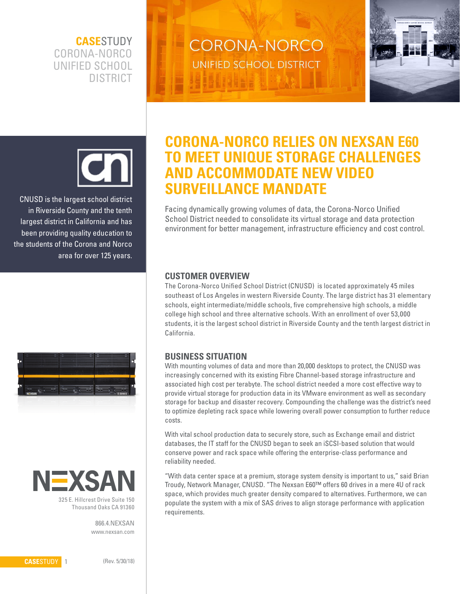**CASE**STUDY CORONA-NORCO UNIFIED SCHOOL DISTRICT

**CORONA-NORCO** UNIFIED SCHOOL DISTRICT





CNUSD is the largest school district in Riverside County and the tenth largest district in California and has been providing quality education to the students of the Corona and Norco area for over 125 years.





Thousand Oaks CA 91360

866.4.NEXSAN www.nexsan.com

# **CORONA-NORCO RELIES ON NEXSAN E60 TO MEET UNIQUE STORAGE CHALLENGES AND ACCOMMODATE NEW VIDEO SURVEILLANCE MANDATE**

Facing dynamically growing volumes of data, the Corona-Norco Unified School District needed to consolidate its virtual storage and data protection environment for better management, infrastructure efficiency and cost control.

### **CUSTOMER OVERVIEW**

The Corona-Norco Unified School District (CNUSD) is located approximately 45 miles southeast of Los Angeles in western Riverside County. The large district has 31 elementary schools, eight intermediate/middle schools, five comprehensive high schools, a middle college high school and three alternative schools. With an enrollment of over 53,000 students, it is the largest school district in Riverside County and the tenth largest district in California.

#### **BUSINESS SITUATION**

With mounting volumes of data and more than 20,000 desktops to protect, the CNUSD was increasingly concerned with its existing Fibre Channel-based storage infrastructure and associated high cost per terabyte. The school district needed a more cost effective way to provide virtual storage for production data in its VMware environment as well as secondary storage for backup and disaster recovery. Compounding the challenge was the district's need to optimize depleting rack space while lowering overall power consumption to further reduce costs.

With vital school production data to securely store, such as Exchange email and district databases, the IT staff for the CNUSD began to seek an iSCSI-based solution that would conserve power and rack space while offering the enterprise-class performance and reliability needed.

"With data center space at a premium, storage system density is important to us," said Brian Troudy, Network Manager, CNUSD. "The Nexsan E60™ offers 60 drives in a mere 4U of rack space, which provides much greater density compared to alternatives. Furthermore, we can populate the system with a mix of SAS drives to align storage performance with application requirements.

**CASE**STUDY 1